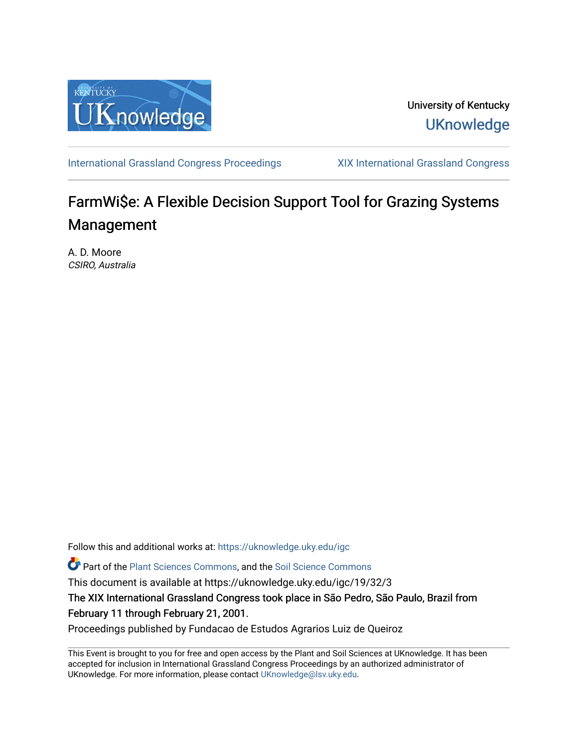

University of Kentucky **UKnowledge** 

[International Grassland Congress Proceedings](https://uknowledge.uky.edu/igc) [XIX International Grassland Congress](https://uknowledge.uky.edu/igc/19) 

# FarmWi\$e: A Flexible Decision Support Tool for Grazing Systems Management

A. D. Moore CSIRO, Australia

Follow this and additional works at: [https://uknowledge.uky.edu/igc](https://uknowledge.uky.edu/igc?utm_source=uknowledge.uky.edu%2Figc%2F19%2F32%2F3&utm_medium=PDF&utm_campaign=PDFCoverPages) 

Part of the [Plant Sciences Commons](http://network.bepress.com/hgg/discipline/102?utm_source=uknowledge.uky.edu%2Figc%2F19%2F32%2F3&utm_medium=PDF&utm_campaign=PDFCoverPages), and the [Soil Science Commons](http://network.bepress.com/hgg/discipline/163?utm_source=uknowledge.uky.edu%2Figc%2F19%2F32%2F3&utm_medium=PDF&utm_campaign=PDFCoverPages) 

This document is available at https://uknowledge.uky.edu/igc/19/32/3

The XIX International Grassland Congress took place in São Pedro, São Paulo, Brazil from February 11 through February 21, 2001.

Proceedings published by Fundacao de Estudos Agrarios Luiz de Queiroz

This Event is brought to you for free and open access by the Plant and Soil Sciences at UKnowledge. It has been accepted for inclusion in International Grassland Congress Proceedings by an authorized administrator of UKnowledge. For more information, please contact [UKnowledge@lsv.uky.edu](mailto:UKnowledge@lsv.uky.edu).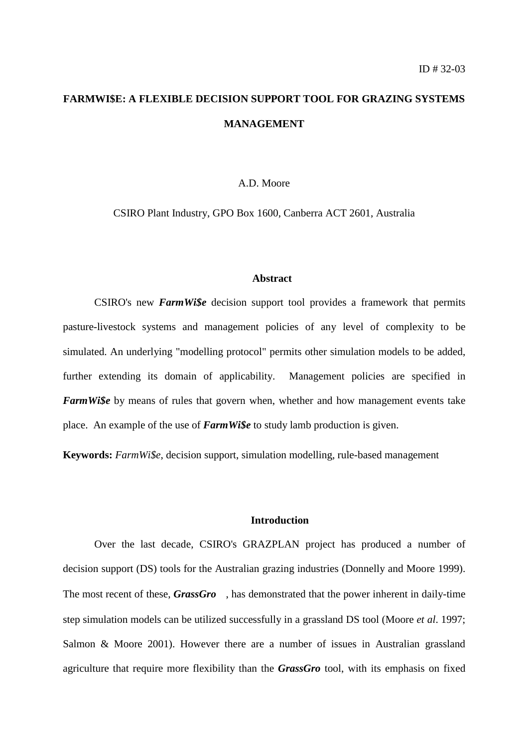## **FARMWI\$E: A FLEXIBLE DECISION SUPPORT TOOL FOR GRAZING SYSTEMS MANAGEMENT**

## A.D. Moore

CSIRO Plant Industry, GPO Box 1600, Canberra ACT 2601, Australia

## **Abstract**

CSIRO's new *FarmWi\$e* decision support tool provides a framework that permits pasture-livestock systems and management policies of any level of complexity to be simulated. An underlying "modelling protocol" permits other simulation models to be added, further extending its domain of applicability. Management policies are specified in *FarmWi\$e* by means of rules that govern when, whether and how management events take place. An example of the use of *FarmWi\$e* to study lamb production is given.

**Keywords:** *FarmWi\$e*, decision support, simulation modelling, rule-based management

## **Introduction**

Over the last decade, CSIRO's GRAZPLAN project has produced a number of decision support (DS) tools for the Australian grazing industries (Donnelly and Moore 1999). The most recent of these,  $GrassGro^{TM}$ , has demonstrated that the power inherent in daily-time step simulation models can be utilized successfully in a grassland DS tool (Moore *et al*. 1997; Salmon & Moore 2001). However there are a number of issues in Australian grassland agriculture that require more flexibility than the *GrassGro* tool, with its emphasis on fixed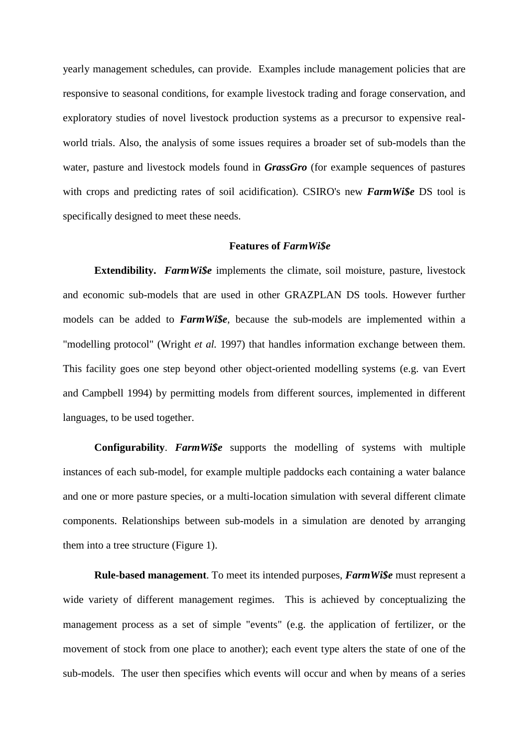yearly management schedules, can provide. Examples include management policies that are responsive to seasonal conditions, for example livestock trading and forage conservation, and exploratory studies of novel livestock production systems as a precursor to expensive realworld trials. Also, the analysis of some issues requires a broader set of sub-models than the water, pasture and livestock models found in *GrassGro* (for example sequences of pastures with crops and predicting rates of soil acidification). CSIRO's new *FarmWi\$e* DS tool is specifically designed to meet these needs.

### **Features of** *FarmWi\$e*

**Extendibility.** *FarmWi\$e* implements the climate, soil moisture, pasture, livestock and economic sub-models that are used in other GRAZPLAN DS tools. However further models can be added to *FarmWi\$e*, because the sub-models are implemented within a "modelling protocol" (Wright *et al.* 1997) that handles information exchange between them. This facility goes one step beyond other object-oriented modelling systems (e.g. van Evert and Campbell 1994) by permitting models from different sources, implemented in different languages, to be used together.

**Configurability**. *FarmWi\$e* supports the modelling of systems with multiple instances of each sub-model, for example multiple paddocks each containing a water balance and one or more pasture species, or a multi-location simulation with several different climate components. Relationships between sub-models in a simulation are denoted by arranging them into a tree structure (Figure 1).

**Rule-based management**. To meet its intended purposes, *FarmWi\$e* must represent a wide variety of different management regimes. This is achieved by conceptualizing the management process as a set of simple "events" (e.g. the application of fertilizer, or the movement of stock from one place to another); each event type alters the state of one of the sub-models. The user then specifies which events will occur and when by means of a series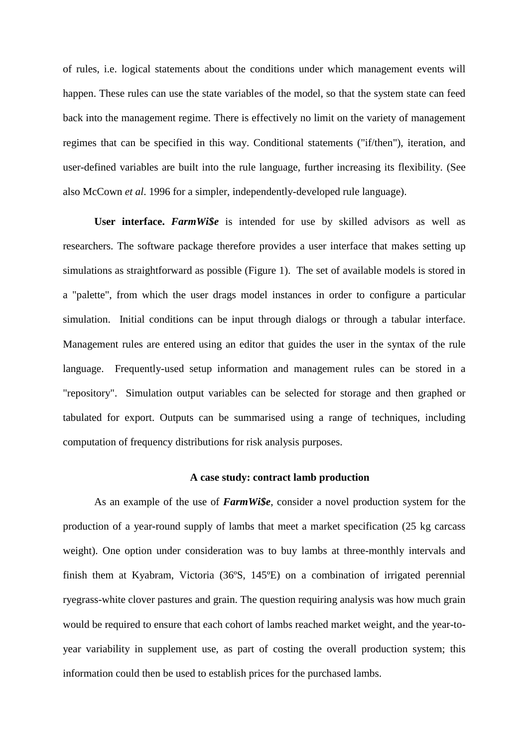of rules, i.e. logical statements about the conditions under which management events will happen. These rules can use the state variables of the model, so that the system state can feed back into the management regime. There is effectively no limit on the variety of management regimes that can be specified in this way. Conditional statements ("if/then"), iteration, and user-defined variables are built into the rule language, further increasing its flexibility. (See also McCown *et al*. 1996 for a simpler, independently-developed rule language).

**User interface.** *FarmWi\$e* is intended for use by skilled advisors as well as researchers. The software package therefore provides a user interface that makes setting up simulations as straightforward as possible (Figure 1). The set of available models is stored in a "palette", from which the user drags model instances in order to configure a particular simulation. Initial conditions can be input through dialogs or through a tabular interface. Management rules are entered using an editor that guides the user in the syntax of the rule language. Frequently-used setup information and management rules can be stored in a "repository". Simulation output variables can be selected for storage and then graphed or tabulated for export. Outputs can be summarised using a range of techniques, including computation of frequency distributions for risk analysis purposes.

## **A case study: contract lamb production**

As an example of the use of *FarmWi\$e*, consider a novel production system for the production of a year-round supply of lambs that meet a market specification (25 kg carcass weight). One option under consideration was to buy lambs at three-monthly intervals and finish them at Kyabram, Victoria (36ºS, 145ºE) on a combination of irrigated perennial ryegrass-white clover pastures and grain. The question requiring analysis was how much grain would be required to ensure that each cohort of lambs reached market weight, and the year-toyear variability in supplement use, as part of costing the overall production system; this information could then be used to establish prices for the purchased lambs.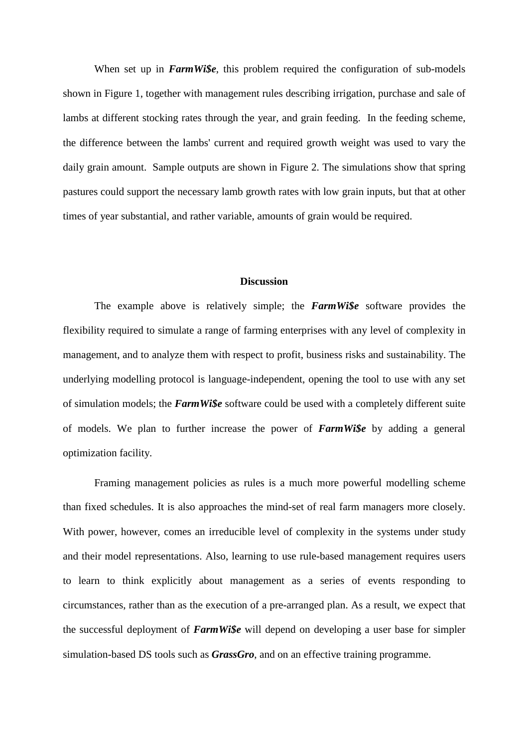When set up in *FarmWi\$e*, this problem required the configuration of sub-models shown in Figure 1, together with management rules describing irrigation, purchase and sale of lambs at different stocking rates through the year, and grain feeding. In the feeding scheme, the difference between the lambs' current and required growth weight was used to vary the daily grain amount. Sample outputs are shown in Figure 2. The simulations show that spring pastures could support the necessary lamb growth rates with low grain inputs, but that at other times of year substantial, and rather variable, amounts of grain would be required.

## **Discussion**

The example above is relatively simple; the *FarmWi\$e* software provides the flexibility required to simulate a range of farming enterprises with any level of complexity in management, and to analyze them with respect to profit, business risks and sustainability. The underlying modelling protocol is language-independent, opening the tool to use with any set of simulation models; the *FarmWi\$e* software could be used with a completely different suite of models. We plan to further increase the power of *FarmWi\$e* by adding a general optimization facility.

Framing management policies as rules is a much more powerful modelling scheme than fixed schedules. It is also approaches the mind-set of real farm managers more closely. With power, however, comes an irreducible level of complexity in the systems under study and their model representations. Also, learning to use rule-based management requires users to learn to think explicitly about management as a series of events responding to circumstances, rather than as the execution of a pre-arranged plan. As a result, we expect that the successful deployment of *FarmWi\$e* will depend on developing a user base for simpler simulation-based DS tools such as *GrassGro*, and on an effective training programme.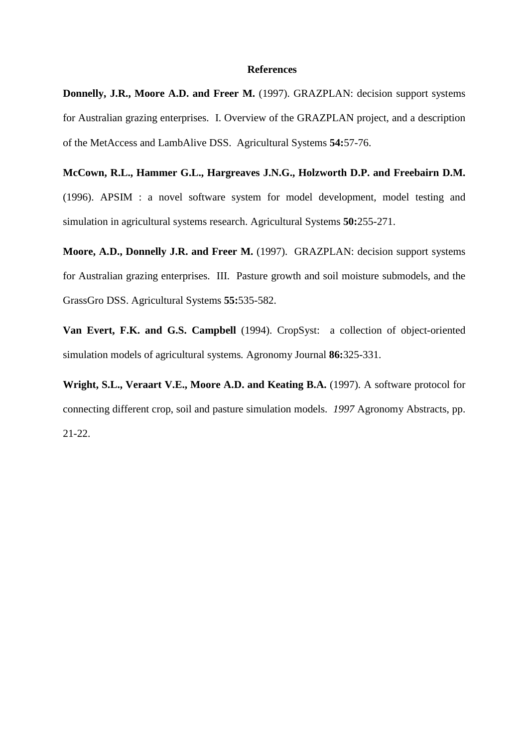## **References**

**Donnelly, J.R., Moore A.D. and Freer M.** (1997). GRAZPLAN: decision support systems for Australian grazing enterprises. I. Overview of the GRAZPLAN project, and a description of the MetAccess and LambAlive DSS. Agricultural Systems **54:**57-76.

**McCown, R.L., Hammer G.L., Hargreaves J.N.G., Holzworth D.P. and Freebairn D.M.** (1996). APSIM : a novel software system for model development, model testing and simulation in agricultural systems research. Agricultural Systems **50:**255-271.

**Moore, A.D., Donnelly J.R. and Freer M.** (1997). GRAZPLAN: decision support systems for Australian grazing enterprises. III. Pasture growth and soil moisture submodels, and the GrassGro DSS. Agricultural Systems **55:**535-582.

**Van Evert, F.K. and G.S. Campbell** (1994). CropSyst: a collection of object-oriented simulation models of agricultural systems*.* Agronomy Journal **86:**325-331.

**Wright, S.L., Veraart V.E., Moore A.D. and Keating B.A.** (1997). A software protocol for connecting different crop, soil and pasture simulation models. *1997* Agronomy Abstracts, pp. 21-22.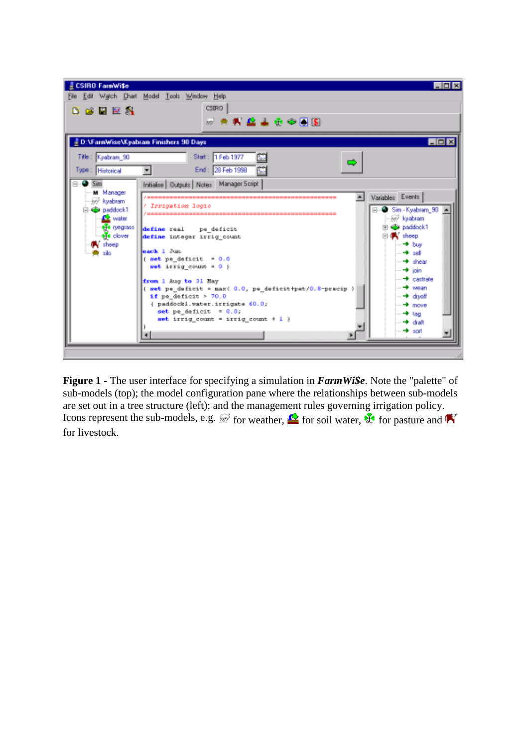

**Figure 1 -** The user interface for specifying a simulation in *FarmWi\$e*. Note the "palette" of sub-models (top); the model configuration pane where the relationships between sub-models are set out in a tree structure (left); and the management rules governing irrigation policy. Icons represent the sub-models, e.g.  $\mathbb{F}$  for weather,  $\mathbb{R}$  for soil water,  $\mathbb{F}$  for pasture and  $\mathbb{R}$ for livestock.